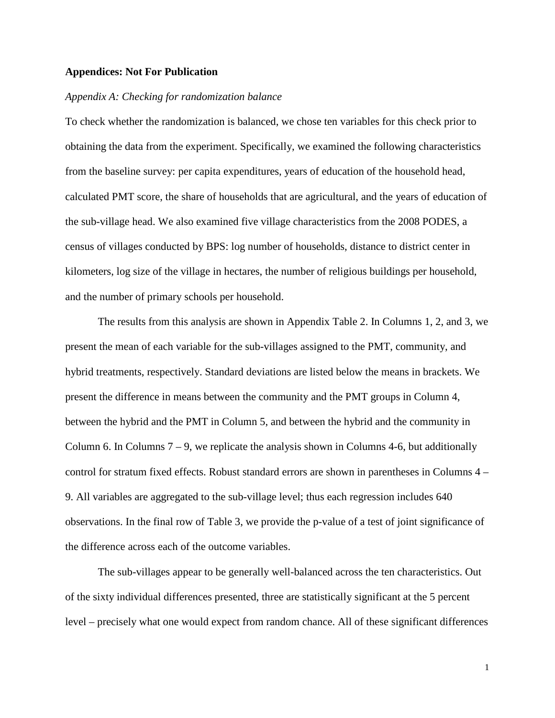#### **Appendices: Not For Publication**

#### *Appendix A: Checking for randomization balance*

To check whether the randomization is balanced, we chose ten variables for this check prior to obtaining the data from the experiment. Specifically, we examined the following characteristics from the baseline survey: per capita expenditures, years of education of the household head, calculated PMT score, the share of households that are agricultural, and the years of education of the sub-village head. We also examined five village characteristics from the 2008 PODES, a census of villages conducted by BPS: log number of households, distance to district center in kilometers, log size of the village in hectares, the number of religious buildings per household, and the number of primary schools per household.

The results from this analysis are shown in Appendix Table 2. In Columns 1, 2, and 3, we present the mean of each variable for the sub-villages assigned to the PMT, community, and hybrid treatments, respectively. Standard deviations are listed below the means in brackets. We present the difference in means between the community and the PMT groups in Column 4, between the hybrid and the PMT in Column 5, and between the hybrid and the community in Column 6. In Columns  $7 - 9$ , we replicate the analysis shown in Columns 4-6, but additionally control for stratum fixed effects. Robust standard errors are shown in parentheses in Columns 4 – 9. All variables are aggregated to the sub-village level; thus each regression includes 640 observations. In the final row of Table 3, we provide the p-value of a test of joint significance of the difference across each of the outcome variables.

The sub-villages appear to be generally well-balanced across the ten characteristics. Out of the sixty individual differences presented, three are statistically significant at the 5 percent level – precisely what one would expect from random chance. All of these significant differences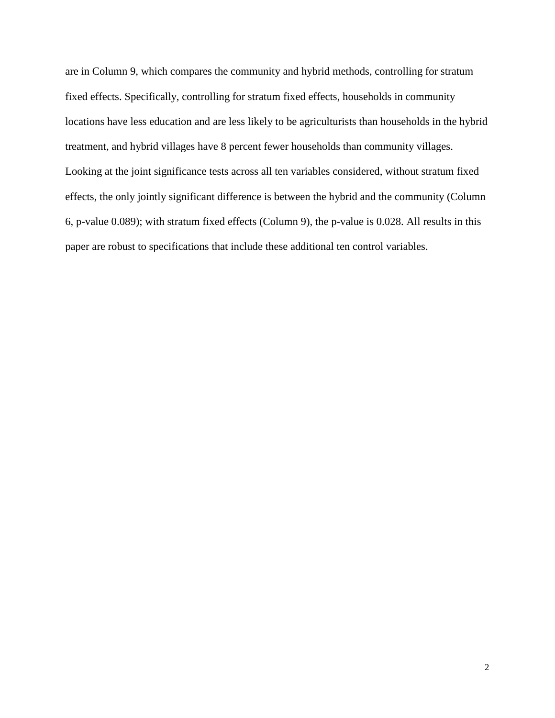are in Column 9, which compares the community and hybrid methods, controlling for stratum fixed effects. Specifically, controlling for stratum fixed effects, households in community locations have less education and are less likely to be agriculturists than households in the hybrid treatment, and hybrid villages have 8 percent fewer households than community villages. Looking at the joint significance tests across all ten variables considered, without stratum fixed effects, the only jointly significant difference is between the hybrid and the community (Column 6, p-value 0.089); with stratum fixed effects (Column 9), the p-value is 0.028. All results in this paper are robust to specifications that include these additional ten control variables.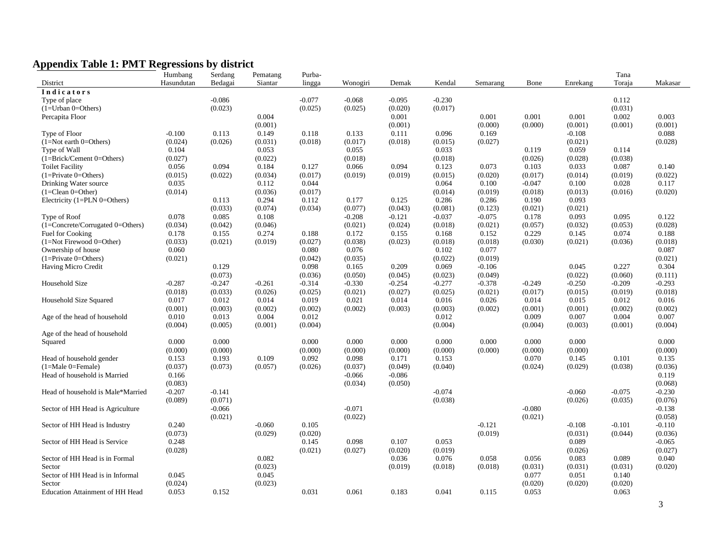# **Appendix Table 1: PMT Regressions by district**

| Hasundutan<br>Bedagai<br>Toraja<br>Siantar<br>lingga<br>Kendal<br>Semarang<br>Bone<br>Enrekang<br>Makasar<br>District<br>Wonogiri<br>Demak<br><b>Indicators</b><br>$-0.086$<br>$-0.077$<br>$-0.068$<br>$-0.095$<br>$-0.230$<br>0.112<br>Type of place<br>(0.031)<br>(0.023)<br>(0.025)<br>(0.020)<br>$(1=U$ rban 0=Others)<br>(0.025)<br>(0.017)<br>0.002<br>0.004<br>0.001<br>0.001<br>0.003<br>Percapita Floor<br>0.001<br>0.001<br>(0.001)<br>(0.001)<br>(0.000)<br>(0.000)<br>(0.001)<br>(0.001)<br>(0.001)<br>$-0.100$<br>0.113<br>0.118<br>0.088<br>Type of Floor<br>0.149<br>0.133<br>0.111<br>0.096<br>0.169<br>$-0.108$<br>(0.026)<br>$(1=Not earth 0=Others)$<br>(0.024)<br>(0.031)<br>(0.018)<br>(0.017)<br>(0.018)<br>(0.015)<br>(0.027)<br>(0.021)<br>(0.028)<br>0.104<br>0.053<br>0.033<br>0.059<br>Type of Wall<br>0.055<br>0.119<br>0.114<br>$(1=Brick/Center 0=Others)$<br>(0.027)<br>(0.022)<br>(0.018)<br>(0.026)<br>(0.028)<br>(0.038)<br>(0.018)<br>0.094<br>0.094<br><b>Toilet Facility</b><br>0.056<br>0.184<br>0.127<br>0.066<br>0.123<br>0.073<br>0.103<br>0.033<br>0.087<br>0.140<br>$(1 =$ Private 0=Others)<br>(0.015)<br>(0.022)<br>(0.034)<br>(0.017)<br>(0.019)<br>(0.019)<br>(0.015)<br>(0.020)<br>(0.017)<br>(0.014)<br>(0.019)<br>(0.022)<br>0.035<br>0.044<br>0.064<br>0.100<br>$-0.047$<br>0.100<br>0.028<br>0.117<br>Drinking Water source<br>0.112<br>(0.014)<br>(0.036)<br>(0.017)<br>(0.019)<br>(0.018)<br>(0.016)<br>(0.020)<br>$(1 = Clean 0 = Other)$<br>(0.014)<br>(0.013)<br>0.113<br>0.294<br>0.112<br>0.177<br>0.125<br>0.286<br>0.286<br>0.190<br>0.093<br>Electricity $(1=PLN 0=Others)$<br>(0.033)<br>(0.034)<br>(0.043)<br>(0.021)<br>(0.021)<br>(0.074)<br>(0.077)<br>(0.081)<br>(0.123)<br>0.085<br>0.078<br>0.108<br>$-0.121$<br>$-0.037$<br>$-0.075$<br>0.178<br>0.093<br>0.095<br>0.122<br>Type of Roof<br>$-0.208$<br>(0.042)<br>(1=Concrete/Corrugated 0=Others)<br>(0.034)<br>(0.046)<br>(0.021)<br>(0.024)<br>(0.021)<br>(0.057)<br>(0.032)<br>(0.053)<br>(0.028)<br>(0.018)<br>0.229<br>0.178<br>0.155<br>0.274<br>0.188<br>0.172<br>0.155<br>0.145<br>0.074<br>0.188<br>Fuel for Cooking<br>0.168<br>0.152<br>(0.033)<br>(0.021)<br>(0.019)<br>(0.027)<br>(0.038)<br>(0.023)<br>(0.018)<br>(0.030)<br>(0.021)<br>(0.036)<br>$(1=Not$ Firewood $0=Other)$<br>(0.018)<br>(0.018)<br>0.060<br>0.080<br>0.076<br>0.077<br>0.087<br>Ownership of house<br>0.102<br>$(1 = Private 0 = Others)$<br>(0.021)<br>(0.042)<br>(0.035)<br>(0.022)<br>(0.019)<br>(0.021)<br>0.129<br>0.098<br>0.209<br>0.227<br>0.069<br>0.045<br>0.304<br>Having Micro Credit<br>0.165<br>$-0.106$<br>(0.073)<br>(0.036)<br>(0.022)<br>(0.060)<br>(0.050)<br>(0.045)<br>(0.023)<br>(0.049)<br>(0.111)<br>Household Size<br>$-0.287$<br>$-0.247$<br>$-0.314$<br>$-0.330$<br>$-0.254$<br>$-0.277$<br>$-0.378$<br>$-0.249$<br>$-0.250$<br>$-0.209$<br>$-0.293$<br>$-0.261$<br>(0.033)<br>(0.018)<br>(0.026)<br>(0.025)<br>(0.021)<br>(0.027)<br>(0.025)<br>(0.021)<br>(0.017)<br>(0.015)<br>(0.019)<br>(0.018)<br>0.012<br>0.019<br>0.021<br>0.014<br>Household Size Squared<br>0.017<br>0.014<br>0.016<br>0.026<br>0.014<br>0.015<br>0.012<br>0.016<br>(0.001)<br>(0.003)<br>(0.002)<br>(0.002)<br>(0.002)<br>(0.003)<br>(0.003)<br>(0.002)<br>(0.001)<br>(0.001)<br>(0.002)<br>(0.002)<br>0.013<br>0.012<br>0.009<br>0.004<br>Age of the head of household<br>0.010<br>0.004<br>0.012<br>0.007<br>0.007<br>(0.004)<br>(0.005)<br>(0.001)<br>(0.004)<br>(0.004)<br>(0.004)<br>(0.003)<br>(0.001)<br>(0.004)<br>Age of the head of household<br>0.000<br>0.000<br>0.000<br>0.000<br>0.000<br>0.000<br>0.000<br>0.000<br>0.000<br>0.000<br>Squared<br>(0.000)<br>(0.000)<br>(0.000)<br>(0.000)<br>(0.000)<br>(0.000)<br>(0.000)<br>(0.000)<br>(0.000)<br>(0.000)<br>0.092<br>0.070<br>Head of household gender<br>0.153<br>0.193<br>0.109<br>0.098<br>0.171<br>0.153<br>0.145<br>0.101<br>0.135<br>$(1=Male 0=Female)$<br>(0.073)<br>(0.038)<br>(0.037)<br>(0.057)<br>(0.026)<br>(0.037)<br>(0.049)<br>(0.040)<br>(0.024)<br>(0.029)<br>(0.036)<br>$-0.086$<br>Head of household is Married<br>0.166<br>$-0.066$<br>0.119<br>(0.083)<br>(0.034)<br>(0.050)<br>(0.068)<br>$-0.207$<br>$-0.141$<br>$-0.074$<br>$-0.060$<br>$-0.075$<br>Head of household is Male*Married<br>$-0.230$<br>(0.071)<br>(0.038)<br>(0.035)<br>(0.089)<br>(0.026)<br>(0.076)<br>$-0.066$<br>$-0.071$<br>$-0.080$<br>$-0.138$<br>Sector of HH Head is Agriculture<br>(0.021)<br>(0.022)<br>(0.021)<br>(0.058)<br>Sector of HH Head is Industry<br>0.240<br>0.105<br>$-0.121$<br>$-0.101$<br>$-0.110$<br>$-0.060$<br>$-0.108$<br>(0.073)<br>(0.029)<br>(0.020)<br>(0.019)<br>(0.031)<br>(0.044)<br>(0.036)<br>0.248<br>0.107<br>Sector of HH Head is Service<br>0.145<br>0.098<br>0.053<br>0.089<br>$-0.065$<br>(0.028)<br>(0.021)<br>(0.027)<br>(0.020)<br>(0.019)<br>(0.026)<br>(0.027)<br>Sector of HH Head is in Formal<br>0.082<br>0.036<br>0.076<br>0.058<br>0.056<br>0.083<br>0.089<br>0.040<br>Sector<br>(0.023)<br>(0.019)<br>(0.018)<br>(0.018)<br>(0.031)<br>(0.031)<br>(0.031)<br>(0.020)<br>Sector of HH Head is in Informal<br>0.045<br>0.045<br>0.077<br>0.051<br>0.140<br>(0.020)<br>(0.024)<br>(0.023)<br>(0.020)<br>(0.020)<br>Sector |                                 | Humbang | Serdang | Pematang | Purba- |       |       |       |       |       | Tana  |  |
|------------------------------------------------------------------------------------------------------------------------------------------------------------------------------------------------------------------------------------------------------------------------------------------------------------------------------------------------------------------------------------------------------------------------------------------------------------------------------------------------------------------------------------------------------------------------------------------------------------------------------------------------------------------------------------------------------------------------------------------------------------------------------------------------------------------------------------------------------------------------------------------------------------------------------------------------------------------------------------------------------------------------------------------------------------------------------------------------------------------------------------------------------------------------------------------------------------------------------------------------------------------------------------------------------------------------------------------------------------------------------------------------------------------------------------------------------------------------------------------------------------------------------------------------------------------------------------------------------------------------------------------------------------------------------------------------------------------------------------------------------------------------------------------------------------------------------------------------------------------------------------------------------------------------------------------------------------------------------------------------------------------------------------------------------------------------------------------------------------------------------------------------------------------------------------------------------------------------------------------------------------------------------------------------------------------------------------------------------------------------------------------------------------------------------------------------------------------------------------------------------------------------------------------------------------------------------------------------------------------------------------------------------------------------------------------------------------------------------------------------------------------------------------------------------------------------------------------------------------------------------------------------------------------------------------------------------------------------------------------------------------------------------------------------------------------------------------------------------------------------------------------------------------------------------------------------------------------------------------------------------------------------------------------------------------------------------------------------------------------------------------------------------------------------------------------------------------------------------------------------------------------------------------------------------------------------------------------------------------------------------------------------------------------------------------------------------------------------------------------------------------------------------------------------------------------------------------------------------------------------------------------------------------------------------------------------------------------------------------------------------------------------------------------------------------------------------------------------------------------------------------------------------------------------------------------------------------------------------------------------------------------------------------------------------------------------------------------------------------------------------------------------------------------------------------------------------------------------------------------------------------------------------------------------------------------------------------------------------------------------------------------------------------------------------------------------------------------------------------------------------------------------------------------------------------------------------------------------------------------------------------------------------------------------------------------------------------------------------------------------------------------------------------------------------------------------------------------------------------------------------------------------------------------------------------------------------------------------------------------------------------|---------------------------------|---------|---------|----------|--------|-------|-------|-------|-------|-------|-------|--|
|                                                                                                                                                                                                                                                                                                                                                                                                                                                                                                                                                                                                                                                                                                                                                                                                                                                                                                                                                                                                                                                                                                                                                                                                                                                                                                                                                                                                                                                                                                                                                                                                                                                                                                                                                                                                                                                                                                                                                                                                                                                                                                                                                                                                                                                                                                                                                                                                                                                                                                                                                                                                                                                                                                                                                                                                                                                                                                                                                                                                                                                                                                                                                                                                                                                                                                                                                                                                                                                                                                                                                                                                                                                                                                                                                                                                                                                                                                                                                                                                                                                                                                                                                                                                                                                                                                                                                                                                                                                                                                                                                                                                                                                                                                                                                                                                                                                                                                                                                                                                                                                                                                                                                                                                                                                            |                                 |         |         |          |        |       |       |       |       |       |       |  |
|                                                                                                                                                                                                                                                                                                                                                                                                                                                                                                                                                                                                                                                                                                                                                                                                                                                                                                                                                                                                                                                                                                                                                                                                                                                                                                                                                                                                                                                                                                                                                                                                                                                                                                                                                                                                                                                                                                                                                                                                                                                                                                                                                                                                                                                                                                                                                                                                                                                                                                                                                                                                                                                                                                                                                                                                                                                                                                                                                                                                                                                                                                                                                                                                                                                                                                                                                                                                                                                                                                                                                                                                                                                                                                                                                                                                                                                                                                                                                                                                                                                                                                                                                                                                                                                                                                                                                                                                                                                                                                                                                                                                                                                                                                                                                                                                                                                                                                                                                                                                                                                                                                                                                                                                                                                            |                                 |         |         |          |        |       |       |       |       |       |       |  |
|                                                                                                                                                                                                                                                                                                                                                                                                                                                                                                                                                                                                                                                                                                                                                                                                                                                                                                                                                                                                                                                                                                                                                                                                                                                                                                                                                                                                                                                                                                                                                                                                                                                                                                                                                                                                                                                                                                                                                                                                                                                                                                                                                                                                                                                                                                                                                                                                                                                                                                                                                                                                                                                                                                                                                                                                                                                                                                                                                                                                                                                                                                                                                                                                                                                                                                                                                                                                                                                                                                                                                                                                                                                                                                                                                                                                                                                                                                                                                                                                                                                                                                                                                                                                                                                                                                                                                                                                                                                                                                                                                                                                                                                                                                                                                                                                                                                                                                                                                                                                                                                                                                                                                                                                                                                            |                                 |         |         |          |        |       |       |       |       |       |       |  |
|                                                                                                                                                                                                                                                                                                                                                                                                                                                                                                                                                                                                                                                                                                                                                                                                                                                                                                                                                                                                                                                                                                                                                                                                                                                                                                                                                                                                                                                                                                                                                                                                                                                                                                                                                                                                                                                                                                                                                                                                                                                                                                                                                                                                                                                                                                                                                                                                                                                                                                                                                                                                                                                                                                                                                                                                                                                                                                                                                                                                                                                                                                                                                                                                                                                                                                                                                                                                                                                                                                                                                                                                                                                                                                                                                                                                                                                                                                                                                                                                                                                                                                                                                                                                                                                                                                                                                                                                                                                                                                                                                                                                                                                                                                                                                                                                                                                                                                                                                                                                                                                                                                                                                                                                                                                            |                                 |         |         |          |        |       |       |       |       |       |       |  |
|                                                                                                                                                                                                                                                                                                                                                                                                                                                                                                                                                                                                                                                                                                                                                                                                                                                                                                                                                                                                                                                                                                                                                                                                                                                                                                                                                                                                                                                                                                                                                                                                                                                                                                                                                                                                                                                                                                                                                                                                                                                                                                                                                                                                                                                                                                                                                                                                                                                                                                                                                                                                                                                                                                                                                                                                                                                                                                                                                                                                                                                                                                                                                                                                                                                                                                                                                                                                                                                                                                                                                                                                                                                                                                                                                                                                                                                                                                                                                                                                                                                                                                                                                                                                                                                                                                                                                                                                                                                                                                                                                                                                                                                                                                                                                                                                                                                                                                                                                                                                                                                                                                                                                                                                                                                            |                                 |         |         |          |        |       |       |       |       |       |       |  |
|                                                                                                                                                                                                                                                                                                                                                                                                                                                                                                                                                                                                                                                                                                                                                                                                                                                                                                                                                                                                                                                                                                                                                                                                                                                                                                                                                                                                                                                                                                                                                                                                                                                                                                                                                                                                                                                                                                                                                                                                                                                                                                                                                                                                                                                                                                                                                                                                                                                                                                                                                                                                                                                                                                                                                                                                                                                                                                                                                                                                                                                                                                                                                                                                                                                                                                                                                                                                                                                                                                                                                                                                                                                                                                                                                                                                                                                                                                                                                                                                                                                                                                                                                                                                                                                                                                                                                                                                                                                                                                                                                                                                                                                                                                                                                                                                                                                                                                                                                                                                                                                                                                                                                                                                                                                            |                                 |         |         |          |        |       |       |       |       |       |       |  |
|                                                                                                                                                                                                                                                                                                                                                                                                                                                                                                                                                                                                                                                                                                                                                                                                                                                                                                                                                                                                                                                                                                                                                                                                                                                                                                                                                                                                                                                                                                                                                                                                                                                                                                                                                                                                                                                                                                                                                                                                                                                                                                                                                                                                                                                                                                                                                                                                                                                                                                                                                                                                                                                                                                                                                                                                                                                                                                                                                                                                                                                                                                                                                                                                                                                                                                                                                                                                                                                                                                                                                                                                                                                                                                                                                                                                                                                                                                                                                                                                                                                                                                                                                                                                                                                                                                                                                                                                                                                                                                                                                                                                                                                                                                                                                                                                                                                                                                                                                                                                                                                                                                                                                                                                                                                            |                                 |         |         |          |        |       |       |       |       |       |       |  |
|                                                                                                                                                                                                                                                                                                                                                                                                                                                                                                                                                                                                                                                                                                                                                                                                                                                                                                                                                                                                                                                                                                                                                                                                                                                                                                                                                                                                                                                                                                                                                                                                                                                                                                                                                                                                                                                                                                                                                                                                                                                                                                                                                                                                                                                                                                                                                                                                                                                                                                                                                                                                                                                                                                                                                                                                                                                                                                                                                                                                                                                                                                                                                                                                                                                                                                                                                                                                                                                                                                                                                                                                                                                                                                                                                                                                                                                                                                                                                                                                                                                                                                                                                                                                                                                                                                                                                                                                                                                                                                                                                                                                                                                                                                                                                                                                                                                                                                                                                                                                                                                                                                                                                                                                                                                            |                                 |         |         |          |        |       |       |       |       |       |       |  |
|                                                                                                                                                                                                                                                                                                                                                                                                                                                                                                                                                                                                                                                                                                                                                                                                                                                                                                                                                                                                                                                                                                                                                                                                                                                                                                                                                                                                                                                                                                                                                                                                                                                                                                                                                                                                                                                                                                                                                                                                                                                                                                                                                                                                                                                                                                                                                                                                                                                                                                                                                                                                                                                                                                                                                                                                                                                                                                                                                                                                                                                                                                                                                                                                                                                                                                                                                                                                                                                                                                                                                                                                                                                                                                                                                                                                                                                                                                                                                                                                                                                                                                                                                                                                                                                                                                                                                                                                                                                                                                                                                                                                                                                                                                                                                                                                                                                                                                                                                                                                                                                                                                                                                                                                                                                            |                                 |         |         |          |        |       |       |       |       |       |       |  |
|                                                                                                                                                                                                                                                                                                                                                                                                                                                                                                                                                                                                                                                                                                                                                                                                                                                                                                                                                                                                                                                                                                                                                                                                                                                                                                                                                                                                                                                                                                                                                                                                                                                                                                                                                                                                                                                                                                                                                                                                                                                                                                                                                                                                                                                                                                                                                                                                                                                                                                                                                                                                                                                                                                                                                                                                                                                                                                                                                                                                                                                                                                                                                                                                                                                                                                                                                                                                                                                                                                                                                                                                                                                                                                                                                                                                                                                                                                                                                                                                                                                                                                                                                                                                                                                                                                                                                                                                                                                                                                                                                                                                                                                                                                                                                                                                                                                                                                                                                                                                                                                                                                                                                                                                                                                            |                                 |         |         |          |        |       |       |       |       |       |       |  |
|                                                                                                                                                                                                                                                                                                                                                                                                                                                                                                                                                                                                                                                                                                                                                                                                                                                                                                                                                                                                                                                                                                                                                                                                                                                                                                                                                                                                                                                                                                                                                                                                                                                                                                                                                                                                                                                                                                                                                                                                                                                                                                                                                                                                                                                                                                                                                                                                                                                                                                                                                                                                                                                                                                                                                                                                                                                                                                                                                                                                                                                                                                                                                                                                                                                                                                                                                                                                                                                                                                                                                                                                                                                                                                                                                                                                                                                                                                                                                                                                                                                                                                                                                                                                                                                                                                                                                                                                                                                                                                                                                                                                                                                                                                                                                                                                                                                                                                                                                                                                                                                                                                                                                                                                                                                            |                                 |         |         |          |        |       |       |       |       |       |       |  |
|                                                                                                                                                                                                                                                                                                                                                                                                                                                                                                                                                                                                                                                                                                                                                                                                                                                                                                                                                                                                                                                                                                                                                                                                                                                                                                                                                                                                                                                                                                                                                                                                                                                                                                                                                                                                                                                                                                                                                                                                                                                                                                                                                                                                                                                                                                                                                                                                                                                                                                                                                                                                                                                                                                                                                                                                                                                                                                                                                                                                                                                                                                                                                                                                                                                                                                                                                                                                                                                                                                                                                                                                                                                                                                                                                                                                                                                                                                                                                                                                                                                                                                                                                                                                                                                                                                                                                                                                                                                                                                                                                                                                                                                                                                                                                                                                                                                                                                                                                                                                                                                                                                                                                                                                                                                            |                                 |         |         |          |        |       |       |       |       |       |       |  |
|                                                                                                                                                                                                                                                                                                                                                                                                                                                                                                                                                                                                                                                                                                                                                                                                                                                                                                                                                                                                                                                                                                                                                                                                                                                                                                                                                                                                                                                                                                                                                                                                                                                                                                                                                                                                                                                                                                                                                                                                                                                                                                                                                                                                                                                                                                                                                                                                                                                                                                                                                                                                                                                                                                                                                                                                                                                                                                                                                                                                                                                                                                                                                                                                                                                                                                                                                                                                                                                                                                                                                                                                                                                                                                                                                                                                                                                                                                                                                                                                                                                                                                                                                                                                                                                                                                                                                                                                                                                                                                                                                                                                                                                                                                                                                                                                                                                                                                                                                                                                                                                                                                                                                                                                                                                            |                                 |         |         |          |        |       |       |       |       |       |       |  |
|                                                                                                                                                                                                                                                                                                                                                                                                                                                                                                                                                                                                                                                                                                                                                                                                                                                                                                                                                                                                                                                                                                                                                                                                                                                                                                                                                                                                                                                                                                                                                                                                                                                                                                                                                                                                                                                                                                                                                                                                                                                                                                                                                                                                                                                                                                                                                                                                                                                                                                                                                                                                                                                                                                                                                                                                                                                                                                                                                                                                                                                                                                                                                                                                                                                                                                                                                                                                                                                                                                                                                                                                                                                                                                                                                                                                                                                                                                                                                                                                                                                                                                                                                                                                                                                                                                                                                                                                                                                                                                                                                                                                                                                                                                                                                                                                                                                                                                                                                                                                                                                                                                                                                                                                                                                            |                                 |         |         |          |        |       |       |       |       |       |       |  |
|                                                                                                                                                                                                                                                                                                                                                                                                                                                                                                                                                                                                                                                                                                                                                                                                                                                                                                                                                                                                                                                                                                                                                                                                                                                                                                                                                                                                                                                                                                                                                                                                                                                                                                                                                                                                                                                                                                                                                                                                                                                                                                                                                                                                                                                                                                                                                                                                                                                                                                                                                                                                                                                                                                                                                                                                                                                                                                                                                                                                                                                                                                                                                                                                                                                                                                                                                                                                                                                                                                                                                                                                                                                                                                                                                                                                                                                                                                                                                                                                                                                                                                                                                                                                                                                                                                                                                                                                                                                                                                                                                                                                                                                                                                                                                                                                                                                                                                                                                                                                                                                                                                                                                                                                                                                            |                                 |         |         |          |        |       |       |       |       |       |       |  |
|                                                                                                                                                                                                                                                                                                                                                                                                                                                                                                                                                                                                                                                                                                                                                                                                                                                                                                                                                                                                                                                                                                                                                                                                                                                                                                                                                                                                                                                                                                                                                                                                                                                                                                                                                                                                                                                                                                                                                                                                                                                                                                                                                                                                                                                                                                                                                                                                                                                                                                                                                                                                                                                                                                                                                                                                                                                                                                                                                                                                                                                                                                                                                                                                                                                                                                                                                                                                                                                                                                                                                                                                                                                                                                                                                                                                                                                                                                                                                                                                                                                                                                                                                                                                                                                                                                                                                                                                                                                                                                                                                                                                                                                                                                                                                                                                                                                                                                                                                                                                                                                                                                                                                                                                                                                            |                                 |         |         |          |        |       |       |       |       |       |       |  |
|                                                                                                                                                                                                                                                                                                                                                                                                                                                                                                                                                                                                                                                                                                                                                                                                                                                                                                                                                                                                                                                                                                                                                                                                                                                                                                                                                                                                                                                                                                                                                                                                                                                                                                                                                                                                                                                                                                                                                                                                                                                                                                                                                                                                                                                                                                                                                                                                                                                                                                                                                                                                                                                                                                                                                                                                                                                                                                                                                                                                                                                                                                                                                                                                                                                                                                                                                                                                                                                                                                                                                                                                                                                                                                                                                                                                                                                                                                                                                                                                                                                                                                                                                                                                                                                                                                                                                                                                                                                                                                                                                                                                                                                                                                                                                                                                                                                                                                                                                                                                                                                                                                                                                                                                                                                            |                                 |         |         |          |        |       |       |       |       |       |       |  |
|                                                                                                                                                                                                                                                                                                                                                                                                                                                                                                                                                                                                                                                                                                                                                                                                                                                                                                                                                                                                                                                                                                                                                                                                                                                                                                                                                                                                                                                                                                                                                                                                                                                                                                                                                                                                                                                                                                                                                                                                                                                                                                                                                                                                                                                                                                                                                                                                                                                                                                                                                                                                                                                                                                                                                                                                                                                                                                                                                                                                                                                                                                                                                                                                                                                                                                                                                                                                                                                                                                                                                                                                                                                                                                                                                                                                                                                                                                                                                                                                                                                                                                                                                                                                                                                                                                                                                                                                                                                                                                                                                                                                                                                                                                                                                                                                                                                                                                                                                                                                                                                                                                                                                                                                                                                            |                                 |         |         |          |        |       |       |       |       |       |       |  |
|                                                                                                                                                                                                                                                                                                                                                                                                                                                                                                                                                                                                                                                                                                                                                                                                                                                                                                                                                                                                                                                                                                                                                                                                                                                                                                                                                                                                                                                                                                                                                                                                                                                                                                                                                                                                                                                                                                                                                                                                                                                                                                                                                                                                                                                                                                                                                                                                                                                                                                                                                                                                                                                                                                                                                                                                                                                                                                                                                                                                                                                                                                                                                                                                                                                                                                                                                                                                                                                                                                                                                                                                                                                                                                                                                                                                                                                                                                                                                                                                                                                                                                                                                                                                                                                                                                                                                                                                                                                                                                                                                                                                                                                                                                                                                                                                                                                                                                                                                                                                                                                                                                                                                                                                                                                            |                                 |         |         |          |        |       |       |       |       |       |       |  |
|                                                                                                                                                                                                                                                                                                                                                                                                                                                                                                                                                                                                                                                                                                                                                                                                                                                                                                                                                                                                                                                                                                                                                                                                                                                                                                                                                                                                                                                                                                                                                                                                                                                                                                                                                                                                                                                                                                                                                                                                                                                                                                                                                                                                                                                                                                                                                                                                                                                                                                                                                                                                                                                                                                                                                                                                                                                                                                                                                                                                                                                                                                                                                                                                                                                                                                                                                                                                                                                                                                                                                                                                                                                                                                                                                                                                                                                                                                                                                                                                                                                                                                                                                                                                                                                                                                                                                                                                                                                                                                                                                                                                                                                                                                                                                                                                                                                                                                                                                                                                                                                                                                                                                                                                                                                            |                                 |         |         |          |        |       |       |       |       |       |       |  |
|                                                                                                                                                                                                                                                                                                                                                                                                                                                                                                                                                                                                                                                                                                                                                                                                                                                                                                                                                                                                                                                                                                                                                                                                                                                                                                                                                                                                                                                                                                                                                                                                                                                                                                                                                                                                                                                                                                                                                                                                                                                                                                                                                                                                                                                                                                                                                                                                                                                                                                                                                                                                                                                                                                                                                                                                                                                                                                                                                                                                                                                                                                                                                                                                                                                                                                                                                                                                                                                                                                                                                                                                                                                                                                                                                                                                                                                                                                                                                                                                                                                                                                                                                                                                                                                                                                                                                                                                                                                                                                                                                                                                                                                                                                                                                                                                                                                                                                                                                                                                                                                                                                                                                                                                                                                            |                                 |         |         |          |        |       |       |       |       |       |       |  |
|                                                                                                                                                                                                                                                                                                                                                                                                                                                                                                                                                                                                                                                                                                                                                                                                                                                                                                                                                                                                                                                                                                                                                                                                                                                                                                                                                                                                                                                                                                                                                                                                                                                                                                                                                                                                                                                                                                                                                                                                                                                                                                                                                                                                                                                                                                                                                                                                                                                                                                                                                                                                                                                                                                                                                                                                                                                                                                                                                                                                                                                                                                                                                                                                                                                                                                                                                                                                                                                                                                                                                                                                                                                                                                                                                                                                                                                                                                                                                                                                                                                                                                                                                                                                                                                                                                                                                                                                                                                                                                                                                                                                                                                                                                                                                                                                                                                                                                                                                                                                                                                                                                                                                                                                                                                            |                                 |         |         |          |        |       |       |       |       |       |       |  |
|                                                                                                                                                                                                                                                                                                                                                                                                                                                                                                                                                                                                                                                                                                                                                                                                                                                                                                                                                                                                                                                                                                                                                                                                                                                                                                                                                                                                                                                                                                                                                                                                                                                                                                                                                                                                                                                                                                                                                                                                                                                                                                                                                                                                                                                                                                                                                                                                                                                                                                                                                                                                                                                                                                                                                                                                                                                                                                                                                                                                                                                                                                                                                                                                                                                                                                                                                                                                                                                                                                                                                                                                                                                                                                                                                                                                                                                                                                                                                                                                                                                                                                                                                                                                                                                                                                                                                                                                                                                                                                                                                                                                                                                                                                                                                                                                                                                                                                                                                                                                                                                                                                                                                                                                                                                            |                                 |         |         |          |        |       |       |       |       |       |       |  |
|                                                                                                                                                                                                                                                                                                                                                                                                                                                                                                                                                                                                                                                                                                                                                                                                                                                                                                                                                                                                                                                                                                                                                                                                                                                                                                                                                                                                                                                                                                                                                                                                                                                                                                                                                                                                                                                                                                                                                                                                                                                                                                                                                                                                                                                                                                                                                                                                                                                                                                                                                                                                                                                                                                                                                                                                                                                                                                                                                                                                                                                                                                                                                                                                                                                                                                                                                                                                                                                                                                                                                                                                                                                                                                                                                                                                                                                                                                                                                                                                                                                                                                                                                                                                                                                                                                                                                                                                                                                                                                                                                                                                                                                                                                                                                                                                                                                                                                                                                                                                                                                                                                                                                                                                                                                            |                                 |         |         |          |        |       |       |       |       |       |       |  |
|                                                                                                                                                                                                                                                                                                                                                                                                                                                                                                                                                                                                                                                                                                                                                                                                                                                                                                                                                                                                                                                                                                                                                                                                                                                                                                                                                                                                                                                                                                                                                                                                                                                                                                                                                                                                                                                                                                                                                                                                                                                                                                                                                                                                                                                                                                                                                                                                                                                                                                                                                                                                                                                                                                                                                                                                                                                                                                                                                                                                                                                                                                                                                                                                                                                                                                                                                                                                                                                                                                                                                                                                                                                                                                                                                                                                                                                                                                                                                                                                                                                                                                                                                                                                                                                                                                                                                                                                                                                                                                                                                                                                                                                                                                                                                                                                                                                                                                                                                                                                                                                                                                                                                                                                                                                            |                                 |         |         |          |        |       |       |       |       |       |       |  |
|                                                                                                                                                                                                                                                                                                                                                                                                                                                                                                                                                                                                                                                                                                                                                                                                                                                                                                                                                                                                                                                                                                                                                                                                                                                                                                                                                                                                                                                                                                                                                                                                                                                                                                                                                                                                                                                                                                                                                                                                                                                                                                                                                                                                                                                                                                                                                                                                                                                                                                                                                                                                                                                                                                                                                                                                                                                                                                                                                                                                                                                                                                                                                                                                                                                                                                                                                                                                                                                                                                                                                                                                                                                                                                                                                                                                                                                                                                                                                                                                                                                                                                                                                                                                                                                                                                                                                                                                                                                                                                                                                                                                                                                                                                                                                                                                                                                                                                                                                                                                                                                                                                                                                                                                                                                            |                                 |         |         |          |        |       |       |       |       |       |       |  |
|                                                                                                                                                                                                                                                                                                                                                                                                                                                                                                                                                                                                                                                                                                                                                                                                                                                                                                                                                                                                                                                                                                                                                                                                                                                                                                                                                                                                                                                                                                                                                                                                                                                                                                                                                                                                                                                                                                                                                                                                                                                                                                                                                                                                                                                                                                                                                                                                                                                                                                                                                                                                                                                                                                                                                                                                                                                                                                                                                                                                                                                                                                                                                                                                                                                                                                                                                                                                                                                                                                                                                                                                                                                                                                                                                                                                                                                                                                                                                                                                                                                                                                                                                                                                                                                                                                                                                                                                                                                                                                                                                                                                                                                                                                                                                                                                                                                                                                                                                                                                                                                                                                                                                                                                                                                            |                                 |         |         |          |        |       |       |       |       |       |       |  |
|                                                                                                                                                                                                                                                                                                                                                                                                                                                                                                                                                                                                                                                                                                                                                                                                                                                                                                                                                                                                                                                                                                                                                                                                                                                                                                                                                                                                                                                                                                                                                                                                                                                                                                                                                                                                                                                                                                                                                                                                                                                                                                                                                                                                                                                                                                                                                                                                                                                                                                                                                                                                                                                                                                                                                                                                                                                                                                                                                                                                                                                                                                                                                                                                                                                                                                                                                                                                                                                                                                                                                                                                                                                                                                                                                                                                                                                                                                                                                                                                                                                                                                                                                                                                                                                                                                                                                                                                                                                                                                                                                                                                                                                                                                                                                                                                                                                                                                                                                                                                                                                                                                                                                                                                                                                            |                                 |         |         |          |        |       |       |       |       |       |       |  |
|                                                                                                                                                                                                                                                                                                                                                                                                                                                                                                                                                                                                                                                                                                                                                                                                                                                                                                                                                                                                                                                                                                                                                                                                                                                                                                                                                                                                                                                                                                                                                                                                                                                                                                                                                                                                                                                                                                                                                                                                                                                                                                                                                                                                                                                                                                                                                                                                                                                                                                                                                                                                                                                                                                                                                                                                                                                                                                                                                                                                                                                                                                                                                                                                                                                                                                                                                                                                                                                                                                                                                                                                                                                                                                                                                                                                                                                                                                                                                                                                                                                                                                                                                                                                                                                                                                                                                                                                                                                                                                                                                                                                                                                                                                                                                                                                                                                                                                                                                                                                                                                                                                                                                                                                                                                            |                                 |         |         |          |        |       |       |       |       |       |       |  |
|                                                                                                                                                                                                                                                                                                                                                                                                                                                                                                                                                                                                                                                                                                                                                                                                                                                                                                                                                                                                                                                                                                                                                                                                                                                                                                                                                                                                                                                                                                                                                                                                                                                                                                                                                                                                                                                                                                                                                                                                                                                                                                                                                                                                                                                                                                                                                                                                                                                                                                                                                                                                                                                                                                                                                                                                                                                                                                                                                                                                                                                                                                                                                                                                                                                                                                                                                                                                                                                                                                                                                                                                                                                                                                                                                                                                                                                                                                                                                                                                                                                                                                                                                                                                                                                                                                                                                                                                                                                                                                                                                                                                                                                                                                                                                                                                                                                                                                                                                                                                                                                                                                                                                                                                                                                            |                                 |         |         |          |        |       |       |       |       |       |       |  |
|                                                                                                                                                                                                                                                                                                                                                                                                                                                                                                                                                                                                                                                                                                                                                                                                                                                                                                                                                                                                                                                                                                                                                                                                                                                                                                                                                                                                                                                                                                                                                                                                                                                                                                                                                                                                                                                                                                                                                                                                                                                                                                                                                                                                                                                                                                                                                                                                                                                                                                                                                                                                                                                                                                                                                                                                                                                                                                                                                                                                                                                                                                                                                                                                                                                                                                                                                                                                                                                                                                                                                                                                                                                                                                                                                                                                                                                                                                                                                                                                                                                                                                                                                                                                                                                                                                                                                                                                                                                                                                                                                                                                                                                                                                                                                                                                                                                                                                                                                                                                                                                                                                                                                                                                                                                            |                                 |         |         |          |        |       |       |       |       |       |       |  |
|                                                                                                                                                                                                                                                                                                                                                                                                                                                                                                                                                                                                                                                                                                                                                                                                                                                                                                                                                                                                                                                                                                                                                                                                                                                                                                                                                                                                                                                                                                                                                                                                                                                                                                                                                                                                                                                                                                                                                                                                                                                                                                                                                                                                                                                                                                                                                                                                                                                                                                                                                                                                                                                                                                                                                                                                                                                                                                                                                                                                                                                                                                                                                                                                                                                                                                                                                                                                                                                                                                                                                                                                                                                                                                                                                                                                                                                                                                                                                                                                                                                                                                                                                                                                                                                                                                                                                                                                                                                                                                                                                                                                                                                                                                                                                                                                                                                                                                                                                                                                                                                                                                                                                                                                                                                            |                                 |         |         |          |        |       |       |       |       |       |       |  |
|                                                                                                                                                                                                                                                                                                                                                                                                                                                                                                                                                                                                                                                                                                                                                                                                                                                                                                                                                                                                                                                                                                                                                                                                                                                                                                                                                                                                                                                                                                                                                                                                                                                                                                                                                                                                                                                                                                                                                                                                                                                                                                                                                                                                                                                                                                                                                                                                                                                                                                                                                                                                                                                                                                                                                                                                                                                                                                                                                                                                                                                                                                                                                                                                                                                                                                                                                                                                                                                                                                                                                                                                                                                                                                                                                                                                                                                                                                                                                                                                                                                                                                                                                                                                                                                                                                                                                                                                                                                                                                                                                                                                                                                                                                                                                                                                                                                                                                                                                                                                                                                                                                                                                                                                                                                            |                                 |         |         |          |        |       |       |       |       |       |       |  |
|                                                                                                                                                                                                                                                                                                                                                                                                                                                                                                                                                                                                                                                                                                                                                                                                                                                                                                                                                                                                                                                                                                                                                                                                                                                                                                                                                                                                                                                                                                                                                                                                                                                                                                                                                                                                                                                                                                                                                                                                                                                                                                                                                                                                                                                                                                                                                                                                                                                                                                                                                                                                                                                                                                                                                                                                                                                                                                                                                                                                                                                                                                                                                                                                                                                                                                                                                                                                                                                                                                                                                                                                                                                                                                                                                                                                                                                                                                                                                                                                                                                                                                                                                                                                                                                                                                                                                                                                                                                                                                                                                                                                                                                                                                                                                                                                                                                                                                                                                                                                                                                                                                                                                                                                                                                            |                                 |         |         |          |        |       |       |       |       |       |       |  |
|                                                                                                                                                                                                                                                                                                                                                                                                                                                                                                                                                                                                                                                                                                                                                                                                                                                                                                                                                                                                                                                                                                                                                                                                                                                                                                                                                                                                                                                                                                                                                                                                                                                                                                                                                                                                                                                                                                                                                                                                                                                                                                                                                                                                                                                                                                                                                                                                                                                                                                                                                                                                                                                                                                                                                                                                                                                                                                                                                                                                                                                                                                                                                                                                                                                                                                                                                                                                                                                                                                                                                                                                                                                                                                                                                                                                                                                                                                                                                                                                                                                                                                                                                                                                                                                                                                                                                                                                                                                                                                                                                                                                                                                                                                                                                                                                                                                                                                                                                                                                                                                                                                                                                                                                                                                            |                                 |         |         |          |        |       |       |       |       |       |       |  |
|                                                                                                                                                                                                                                                                                                                                                                                                                                                                                                                                                                                                                                                                                                                                                                                                                                                                                                                                                                                                                                                                                                                                                                                                                                                                                                                                                                                                                                                                                                                                                                                                                                                                                                                                                                                                                                                                                                                                                                                                                                                                                                                                                                                                                                                                                                                                                                                                                                                                                                                                                                                                                                                                                                                                                                                                                                                                                                                                                                                                                                                                                                                                                                                                                                                                                                                                                                                                                                                                                                                                                                                                                                                                                                                                                                                                                                                                                                                                                                                                                                                                                                                                                                                                                                                                                                                                                                                                                                                                                                                                                                                                                                                                                                                                                                                                                                                                                                                                                                                                                                                                                                                                                                                                                                                            |                                 |         |         |          |        |       |       |       |       |       |       |  |
|                                                                                                                                                                                                                                                                                                                                                                                                                                                                                                                                                                                                                                                                                                                                                                                                                                                                                                                                                                                                                                                                                                                                                                                                                                                                                                                                                                                                                                                                                                                                                                                                                                                                                                                                                                                                                                                                                                                                                                                                                                                                                                                                                                                                                                                                                                                                                                                                                                                                                                                                                                                                                                                                                                                                                                                                                                                                                                                                                                                                                                                                                                                                                                                                                                                                                                                                                                                                                                                                                                                                                                                                                                                                                                                                                                                                                                                                                                                                                                                                                                                                                                                                                                                                                                                                                                                                                                                                                                                                                                                                                                                                                                                                                                                                                                                                                                                                                                                                                                                                                                                                                                                                                                                                                                                            |                                 |         |         |          |        |       |       |       |       |       |       |  |
|                                                                                                                                                                                                                                                                                                                                                                                                                                                                                                                                                                                                                                                                                                                                                                                                                                                                                                                                                                                                                                                                                                                                                                                                                                                                                                                                                                                                                                                                                                                                                                                                                                                                                                                                                                                                                                                                                                                                                                                                                                                                                                                                                                                                                                                                                                                                                                                                                                                                                                                                                                                                                                                                                                                                                                                                                                                                                                                                                                                                                                                                                                                                                                                                                                                                                                                                                                                                                                                                                                                                                                                                                                                                                                                                                                                                                                                                                                                                                                                                                                                                                                                                                                                                                                                                                                                                                                                                                                                                                                                                                                                                                                                                                                                                                                                                                                                                                                                                                                                                                                                                                                                                                                                                                                                            |                                 |         |         |          |        |       |       |       |       |       |       |  |
|                                                                                                                                                                                                                                                                                                                                                                                                                                                                                                                                                                                                                                                                                                                                                                                                                                                                                                                                                                                                                                                                                                                                                                                                                                                                                                                                                                                                                                                                                                                                                                                                                                                                                                                                                                                                                                                                                                                                                                                                                                                                                                                                                                                                                                                                                                                                                                                                                                                                                                                                                                                                                                                                                                                                                                                                                                                                                                                                                                                                                                                                                                                                                                                                                                                                                                                                                                                                                                                                                                                                                                                                                                                                                                                                                                                                                                                                                                                                                                                                                                                                                                                                                                                                                                                                                                                                                                                                                                                                                                                                                                                                                                                                                                                                                                                                                                                                                                                                                                                                                                                                                                                                                                                                                                                            |                                 |         |         |          |        |       |       |       |       |       |       |  |
|                                                                                                                                                                                                                                                                                                                                                                                                                                                                                                                                                                                                                                                                                                                                                                                                                                                                                                                                                                                                                                                                                                                                                                                                                                                                                                                                                                                                                                                                                                                                                                                                                                                                                                                                                                                                                                                                                                                                                                                                                                                                                                                                                                                                                                                                                                                                                                                                                                                                                                                                                                                                                                                                                                                                                                                                                                                                                                                                                                                                                                                                                                                                                                                                                                                                                                                                                                                                                                                                                                                                                                                                                                                                                                                                                                                                                                                                                                                                                                                                                                                                                                                                                                                                                                                                                                                                                                                                                                                                                                                                                                                                                                                                                                                                                                                                                                                                                                                                                                                                                                                                                                                                                                                                                                                            |                                 |         |         |          |        |       |       |       |       |       |       |  |
|                                                                                                                                                                                                                                                                                                                                                                                                                                                                                                                                                                                                                                                                                                                                                                                                                                                                                                                                                                                                                                                                                                                                                                                                                                                                                                                                                                                                                                                                                                                                                                                                                                                                                                                                                                                                                                                                                                                                                                                                                                                                                                                                                                                                                                                                                                                                                                                                                                                                                                                                                                                                                                                                                                                                                                                                                                                                                                                                                                                                                                                                                                                                                                                                                                                                                                                                                                                                                                                                                                                                                                                                                                                                                                                                                                                                                                                                                                                                                                                                                                                                                                                                                                                                                                                                                                                                                                                                                                                                                                                                                                                                                                                                                                                                                                                                                                                                                                                                                                                                                                                                                                                                                                                                                                                            |                                 |         |         |          |        |       |       |       |       |       |       |  |
|                                                                                                                                                                                                                                                                                                                                                                                                                                                                                                                                                                                                                                                                                                                                                                                                                                                                                                                                                                                                                                                                                                                                                                                                                                                                                                                                                                                                                                                                                                                                                                                                                                                                                                                                                                                                                                                                                                                                                                                                                                                                                                                                                                                                                                                                                                                                                                                                                                                                                                                                                                                                                                                                                                                                                                                                                                                                                                                                                                                                                                                                                                                                                                                                                                                                                                                                                                                                                                                                                                                                                                                                                                                                                                                                                                                                                                                                                                                                                                                                                                                                                                                                                                                                                                                                                                                                                                                                                                                                                                                                                                                                                                                                                                                                                                                                                                                                                                                                                                                                                                                                                                                                                                                                                                                            |                                 |         |         |          |        |       |       |       |       |       |       |  |
|                                                                                                                                                                                                                                                                                                                                                                                                                                                                                                                                                                                                                                                                                                                                                                                                                                                                                                                                                                                                                                                                                                                                                                                                                                                                                                                                                                                                                                                                                                                                                                                                                                                                                                                                                                                                                                                                                                                                                                                                                                                                                                                                                                                                                                                                                                                                                                                                                                                                                                                                                                                                                                                                                                                                                                                                                                                                                                                                                                                                                                                                                                                                                                                                                                                                                                                                                                                                                                                                                                                                                                                                                                                                                                                                                                                                                                                                                                                                                                                                                                                                                                                                                                                                                                                                                                                                                                                                                                                                                                                                                                                                                                                                                                                                                                                                                                                                                                                                                                                                                                                                                                                                                                                                                                                            |                                 |         |         |          |        |       |       |       |       |       |       |  |
|                                                                                                                                                                                                                                                                                                                                                                                                                                                                                                                                                                                                                                                                                                                                                                                                                                                                                                                                                                                                                                                                                                                                                                                                                                                                                                                                                                                                                                                                                                                                                                                                                                                                                                                                                                                                                                                                                                                                                                                                                                                                                                                                                                                                                                                                                                                                                                                                                                                                                                                                                                                                                                                                                                                                                                                                                                                                                                                                                                                                                                                                                                                                                                                                                                                                                                                                                                                                                                                                                                                                                                                                                                                                                                                                                                                                                                                                                                                                                                                                                                                                                                                                                                                                                                                                                                                                                                                                                                                                                                                                                                                                                                                                                                                                                                                                                                                                                                                                                                                                                                                                                                                                                                                                                                                            |                                 |         |         |          |        |       |       |       |       |       |       |  |
|                                                                                                                                                                                                                                                                                                                                                                                                                                                                                                                                                                                                                                                                                                                                                                                                                                                                                                                                                                                                                                                                                                                                                                                                                                                                                                                                                                                                                                                                                                                                                                                                                                                                                                                                                                                                                                                                                                                                                                                                                                                                                                                                                                                                                                                                                                                                                                                                                                                                                                                                                                                                                                                                                                                                                                                                                                                                                                                                                                                                                                                                                                                                                                                                                                                                                                                                                                                                                                                                                                                                                                                                                                                                                                                                                                                                                                                                                                                                                                                                                                                                                                                                                                                                                                                                                                                                                                                                                                                                                                                                                                                                                                                                                                                                                                                                                                                                                                                                                                                                                                                                                                                                                                                                                                                            |                                 |         |         |          |        |       |       |       |       |       |       |  |
|                                                                                                                                                                                                                                                                                                                                                                                                                                                                                                                                                                                                                                                                                                                                                                                                                                                                                                                                                                                                                                                                                                                                                                                                                                                                                                                                                                                                                                                                                                                                                                                                                                                                                                                                                                                                                                                                                                                                                                                                                                                                                                                                                                                                                                                                                                                                                                                                                                                                                                                                                                                                                                                                                                                                                                                                                                                                                                                                                                                                                                                                                                                                                                                                                                                                                                                                                                                                                                                                                                                                                                                                                                                                                                                                                                                                                                                                                                                                                                                                                                                                                                                                                                                                                                                                                                                                                                                                                                                                                                                                                                                                                                                                                                                                                                                                                                                                                                                                                                                                                                                                                                                                                                                                                                                            |                                 |         |         |          |        |       |       |       |       |       |       |  |
|                                                                                                                                                                                                                                                                                                                                                                                                                                                                                                                                                                                                                                                                                                                                                                                                                                                                                                                                                                                                                                                                                                                                                                                                                                                                                                                                                                                                                                                                                                                                                                                                                                                                                                                                                                                                                                                                                                                                                                                                                                                                                                                                                                                                                                                                                                                                                                                                                                                                                                                                                                                                                                                                                                                                                                                                                                                                                                                                                                                                                                                                                                                                                                                                                                                                                                                                                                                                                                                                                                                                                                                                                                                                                                                                                                                                                                                                                                                                                                                                                                                                                                                                                                                                                                                                                                                                                                                                                                                                                                                                                                                                                                                                                                                                                                                                                                                                                                                                                                                                                                                                                                                                                                                                                                                            |                                 |         |         |          |        |       |       |       |       |       |       |  |
|                                                                                                                                                                                                                                                                                                                                                                                                                                                                                                                                                                                                                                                                                                                                                                                                                                                                                                                                                                                                                                                                                                                                                                                                                                                                                                                                                                                                                                                                                                                                                                                                                                                                                                                                                                                                                                                                                                                                                                                                                                                                                                                                                                                                                                                                                                                                                                                                                                                                                                                                                                                                                                                                                                                                                                                                                                                                                                                                                                                                                                                                                                                                                                                                                                                                                                                                                                                                                                                                                                                                                                                                                                                                                                                                                                                                                                                                                                                                                                                                                                                                                                                                                                                                                                                                                                                                                                                                                                                                                                                                                                                                                                                                                                                                                                                                                                                                                                                                                                                                                                                                                                                                                                                                                                                            |                                 |         |         |          |        |       |       |       |       |       |       |  |
|                                                                                                                                                                                                                                                                                                                                                                                                                                                                                                                                                                                                                                                                                                                                                                                                                                                                                                                                                                                                                                                                                                                                                                                                                                                                                                                                                                                                                                                                                                                                                                                                                                                                                                                                                                                                                                                                                                                                                                                                                                                                                                                                                                                                                                                                                                                                                                                                                                                                                                                                                                                                                                                                                                                                                                                                                                                                                                                                                                                                                                                                                                                                                                                                                                                                                                                                                                                                                                                                                                                                                                                                                                                                                                                                                                                                                                                                                                                                                                                                                                                                                                                                                                                                                                                                                                                                                                                                                                                                                                                                                                                                                                                                                                                                                                                                                                                                                                                                                                                                                                                                                                                                                                                                                                                            |                                 |         |         |          |        |       |       |       |       |       |       |  |
|                                                                                                                                                                                                                                                                                                                                                                                                                                                                                                                                                                                                                                                                                                                                                                                                                                                                                                                                                                                                                                                                                                                                                                                                                                                                                                                                                                                                                                                                                                                                                                                                                                                                                                                                                                                                                                                                                                                                                                                                                                                                                                                                                                                                                                                                                                                                                                                                                                                                                                                                                                                                                                                                                                                                                                                                                                                                                                                                                                                                                                                                                                                                                                                                                                                                                                                                                                                                                                                                                                                                                                                                                                                                                                                                                                                                                                                                                                                                                                                                                                                                                                                                                                                                                                                                                                                                                                                                                                                                                                                                                                                                                                                                                                                                                                                                                                                                                                                                                                                                                                                                                                                                                                                                                                                            | Education Attainment of HH Head | 0.053   | 0.152   |          | 0.031  | 0.061 | 0.183 | 0.041 | 0.115 | 0.053 | 0.063 |  |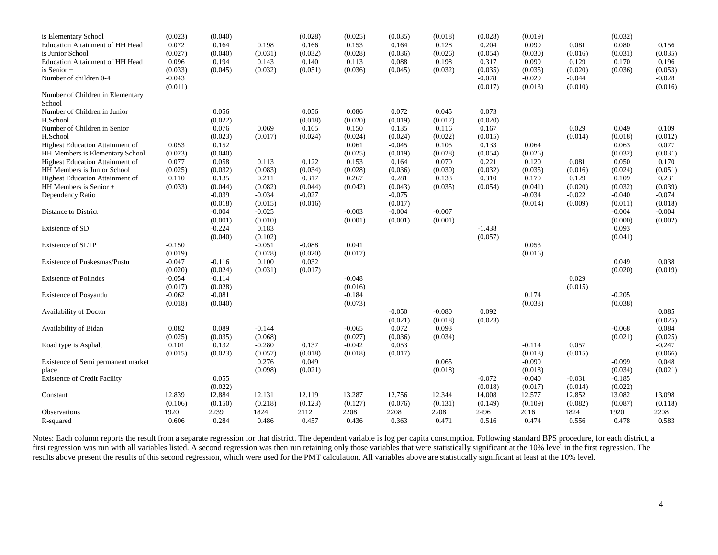| is Elementary School                   | (0.023)           | (0.040)           |                   | (0.028)  | (0.025)           | (0.035)           | (0.018)           | (0.028)           | (0.019)           |                   | (0.032)           |                   |
|----------------------------------------|-------------------|-------------------|-------------------|----------|-------------------|-------------------|-------------------|-------------------|-------------------|-------------------|-------------------|-------------------|
| Education Attainment of HH Head        | 0.072             | 0.164             | 0.198             | 0.166    | 0.153             | 0.164             | 0.128             | 0.204             | 0.099             | 0.081             | 0.080             | 0.156             |
| is Junior School                       | (0.027)           | (0.040)           | (0.031)           | (0.032)  | (0.028)           | (0.036)           | (0.026)           | (0.054)           | (0.030)           | (0.016)           | (0.031)           | (0.035)           |
| Education Attainment of HH Head        | 0.096             | 0.194             | 0.143             | 0.140    | 0.113             | 0.088             | 0.198             | 0.317             | 0.099             | 0.129             | 0.170             | 0.196             |
| is Senior +                            | (0.033)           | (0.045)           | (0.032)           | (0.051)  | (0.036)           | (0.045)           | (0.032)           | (0.035)           | (0.035)           | (0.020)           | (0.036)           | (0.053)           |
| Number of children 0-4                 | $-0.043$          |                   |                   |          |                   |                   |                   | $-0.078$          | $-0.029$          | $-0.044$          |                   | $-0.028$          |
| Number of Children in Elementary       | (0.011)           |                   |                   |          |                   |                   |                   | (0.017)           | (0.013)           | (0.010)           |                   | (0.016)           |
| School                                 |                   |                   |                   |          |                   |                   |                   |                   |                   |                   |                   |                   |
| Number of Children in Junior           |                   | 0.056             |                   | 0.056    | 0.086             | 0.072             | 0.045             | 0.073             |                   |                   |                   |                   |
| H.School                               |                   | (0.022)           |                   | (0.018)  | (0.020)           | (0.019)           | (0.017)           | (0.020)           |                   |                   |                   |                   |
| Number of Children in Senior           |                   | 0.076             | 0.069             | 0.165    | 0.150             | 0.135             | 0.116             | 0.167             |                   | 0.029             | 0.049             | 0.109             |
| H.School                               |                   | (0.023)           | (0.017)           | (0.024)  | (0.024)           | (0.024)           | (0.022)           | (0.015)           |                   | (0.014)           | (0.018)           | (0.012)           |
| Highest Education Attainment of        | 0.053             | 0.152             |                   |          | 0.061             | $-0.045$          | 0.105             | 0.133             | 0.064             |                   | 0.063             | 0.077             |
| HH Members is Elementary School        | (0.023)           | (0.040)           |                   |          | (0.025)           | (0.019)           | (0.028)           | (0.054)           | (0.026)           |                   | (0.032)           | (0.031)           |
| <b>Highest Education Attainment of</b> | 0.077             | 0.058             | 0.113             | 0.122    | 0.153             | 0.164             | 0.070             | 0.221             | 0.120             | 0.081             | 0.050             | 0.170             |
| HH Members is Junior School            | (0.025)           | (0.032)           | (0.083)           | (0.034)  | (0.028)           | (0.036)           | (0.030)           | (0.032)           | (0.035)           | (0.016)           | (0.024)           | (0.051)           |
| Highest Education Attainment of        | 0.110             | 0.135             | 0.211             | 0.317    | 0.267             | 0.281             | 0.133             | 0.310             | 0.170             | 0.129             | 0.109             | 0.231             |
| HH Members is Senior +                 | (0.033)           | (0.044)           | (0.082)           | (0.044)  | (0.042)           | (0.043)           | (0.035)           | (0.054)           | (0.041)           | (0.020)           | (0.032)           | (0.039)           |
| Dependency Ratio                       |                   | $-0.039$          | $-0.034$          | $-0.027$ |                   | $-0.075$          |                   |                   | $-0.034$          | $-0.022$          | $-0.040$          | $-0.074$          |
|                                        |                   | (0.018)           | (0.015)           | (0.016)  |                   | (0.017)           |                   |                   | (0.014)           | (0.009)           | (0.011)           | (0.018)           |
| Distance to District                   |                   | $-0.004$          | $-0.025$          |          | $-0.003$          | $-0.004$          | $-0.007$          |                   |                   |                   | $-0.004$          | $-0.004$          |
|                                        |                   | (0.001)           | (0.010)           |          | (0.001)           | (0.001)           | (0.001)           |                   |                   |                   | (0.000)           | (0.002)           |
| Existence of SD                        |                   | $-0.224$          | 0.183             |          |                   |                   |                   | $-1.438$          |                   |                   | 0.093             |                   |
|                                        |                   | (0.040)           | (0.102)           |          |                   |                   |                   | (0.057)           |                   |                   | (0.041)           |                   |
| <b>Existence of SLTP</b>               | $-0.150$          |                   | $-0.051$          | $-0.088$ | 0.041             |                   |                   |                   | 0.053             |                   |                   |                   |
|                                        | (0.019)           |                   | (0.028)           | (0.020)  | (0.017)           |                   |                   |                   | (0.016)           |                   |                   |                   |
| Existence of Puskesmas/Pustu           | $-0.047$          | $-0.116$          | 0.100             | 0.032    |                   |                   |                   |                   |                   |                   | 0.049             | 0.038             |
|                                        | (0.020)           | (0.024)           | (0.031)           | (0.017)  |                   |                   |                   |                   |                   |                   | (0.020)           | (0.019)           |
| <b>Existence of Polindes</b>           | $-0.054$          | $-0.114$          |                   |          | $-0.048$          |                   |                   |                   |                   | 0.029             |                   |                   |
|                                        | (0.017)           | (0.028)           |                   |          | (0.016)           |                   |                   |                   |                   | (0.015)           |                   |                   |
| Existence of Posyandu                  | $-0.062$          | $-0.081$          |                   |          | $-0.184$          |                   |                   |                   | 0.174             |                   | $-0.205$          |                   |
|                                        | (0.018)           | (0.040)           |                   |          | (0.073)           |                   |                   |                   | (0.038)           |                   | (0.038)           |                   |
| Availability of Doctor                 |                   |                   |                   |          |                   | $-0.050$          | $-0.080$          | 0.092             |                   |                   |                   | 0.085             |
|                                        |                   |                   |                   |          |                   | (0.021)           | (0.018)           | (0.023)           |                   |                   |                   | (0.025)           |
| Availability of Bidan                  | 0.082             | 0.089             | $-0.144$          |          | $-0.065$          | 0.072             | 0.093             |                   |                   |                   | $-0.068$          | 0.084             |
|                                        | (0.025)           | (0.035)           | (0.068)           |          | (0.027)           | (0.036)           | (0.034)           |                   |                   |                   | (0.021)           | (0.025)           |
| Road type is Asphalt                   | 0.101             | 0.132             | $-0.280$          | 0.137    | $-0.042$          | 0.053             |                   |                   | $-0.114$          | 0.057             |                   | $-0.247$          |
|                                        | (0.015)           | (0.023)           | (0.057)           | (0.018)  | (0.018)           | (0.017)           |                   |                   | (0.018)           | (0.015)           |                   | (0.066)           |
| Existence of Semi permanent market     |                   |                   | 0.276             | 0.049    |                   |                   | 0.065             |                   | $-0.090$          |                   | $-0.099$          | 0.048             |
| place                                  |                   |                   | (0.098)           | (0.021)  |                   |                   | (0.018)           |                   | (0.018)           |                   | (0.034)           | (0.021)           |
| <b>Existence of Credit Facility</b>    |                   | 0.055             |                   |          |                   |                   |                   | $-0.072$          | $-0.040$          | $-0.031$          | $-0.185$          |                   |
|                                        |                   | (0.022)           |                   | 12.119   |                   |                   |                   | (0.018)<br>14.008 | (0.017)           | (0.014)           | (0.022)<br>13.082 |                   |
| Constant                               | 12.839<br>(0.106) | 12.884<br>(0.150) | 12.131<br>(0.218) | (0.123)  | 13.287<br>(0.127) | 12.756<br>(0.076) | 12.344<br>(0.131) | (0.149)           | 12.577<br>(0.109) | 12.852<br>(0.082) | (0.087)           | 13.098<br>(0.118) |
| Observations                           | 1920              | 2239              | 1824              | 2112     | 2208              | 2208              | 2208              | 2496              | 2016              | 1824              | 1920              | 2208              |
| R-squared                              | 0.606             | 0.284             | 0.486             | 0.457    | 0.436             | 0.363             | 0.471             | 0.516             | 0.474             | 0.556             | 0.478             | 0.583             |
|                                        |                   |                   |                   |          |                   |                   |                   |                   |                   |                   |                   |                   |

Notes: Each column reports the result from a separate regression for that district. The dependent variable is log per capita consumption. Following standard BPS procedure, for each district, a first regression was run with all variables listed. A second regression was then run retaining only those variables that were statistically significant at the 10% level in the first regression. The results above present the results of this second regression, which were used for the PMT calculation. All variables above are statistically significant at least at the 10% level.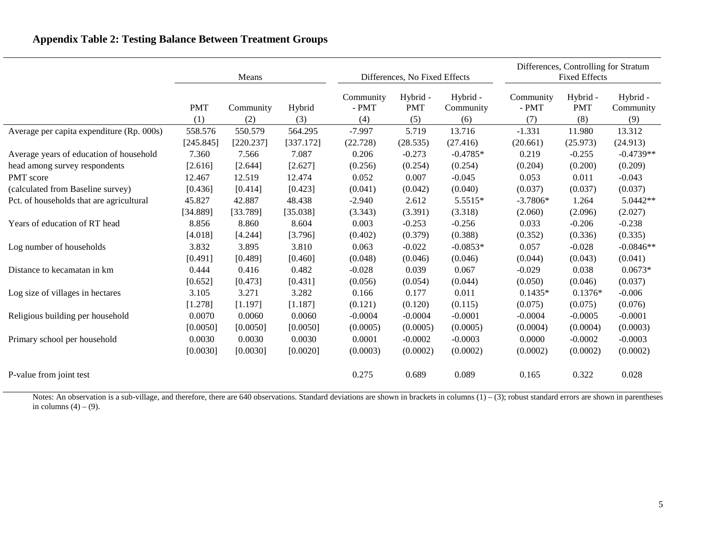# **Appendix Table 2: Testing Balance Between Treatment Groups**

|                                           | Means      |           |           |                      | Differences, No Fixed Effects |                       | Differences, Controlling for Stratum<br><b>Fixed Effects</b> |                        |                       |  |
|-------------------------------------------|------------|-----------|-----------|----------------------|-------------------------------|-----------------------|--------------------------------------------------------------|------------------------|-----------------------|--|
|                                           | <b>PMT</b> | Community | Hybrid    | Community<br>$-$ PMT | Hybrid -<br><b>PMT</b>        | Hybrid -<br>Community | Community<br>$-$ PMT                                         | Hybrid -<br><b>PMT</b> | Hybrid -<br>Community |  |
|                                           | (1)        | (2)       | (3)       | (4)                  | (5)                           | (6)                   | (7)                                                          | (8)                    | (9)                   |  |
| Average per capita expenditure (Rp. 000s) | 558.576    | 550.579   | 564.295   | $-7.997$             | 5.719                         | 13.716                | $-1.331$                                                     | 11.980                 | 13.312                |  |
|                                           | [245.845]  | [220.237] | [337.172] | (22.728)             | (28.535)                      | (27.416)              | (20.661)                                                     | (25.973)               | (24.913)              |  |
| Average years of education of household   | 7.360      | 7.566     | 7.087     | 0.206                | $-0.273$                      | $-0.4785*$            | 0.219                                                        | $-0.255$               | $-0.4739**$           |  |
| head among survey respondents             | [2.616]    | [2.644]   | [2.627]   | (0.256)              | (0.254)                       | (0.254)               | (0.204)                                                      | (0.200)                | (0.209)               |  |
| PMT score                                 | 12.467     | 12.519    | 12.474    | 0.052                | 0.007                         | $-0.045$              | 0.053                                                        | 0.011                  | $-0.043$              |  |
| (calculated from Baseline survey)         | [0.436]    | [0.414]   | [0.423]   | (0.041)              | (0.042)                       | (0.040)               | (0.037)                                                      | (0.037)                | (0.037)               |  |
| Pct. of households that are agricultural  | 45.827     | 42.887    | 48.438    | $-2.940$             | 2.612                         | 5.5515*               | $-3.7806*$                                                   | 1.264                  | 5.0442**              |  |
|                                           | [34.889]   | [33.789]  | [35.038]  | (3.343)              | (3.391)                       | (3.318)               | (2.060)                                                      | (2.096)                | (2.027)               |  |
| Years of education of RT head             | 8.856      | 8.860     | 8.604     | 0.003                | $-0.253$                      | $-0.256$              | 0.033                                                        | $-0.206$               | $-0.238$              |  |
|                                           | [4.018]    | [4.244]   | [3.796]   | (0.402)              | (0.379)                       | (0.388)               | (0.352)                                                      | (0.336)                | (0.335)               |  |
| Log number of households                  | 3.832      | 3.895     | 3.810     | 0.063                | $-0.022$                      | $-0.0853*$            | 0.057                                                        | $-0.028$               | $-0.0846**$           |  |
|                                           | [0.491]    | [0.489]   | [0.460]   | (0.048)              | (0.046)                       | (0.046)               | (0.044)                                                      | (0.043)                | (0.041)               |  |
| Distance to kecamatan in km               | 0.444      | 0.416     | 0.482     | $-0.028$             | 0.039                         | 0.067                 | $-0.029$                                                     | 0.038                  | $0.0673*$             |  |
|                                           | [0.652]    | [0.473]   | [0.431]   | (0.056)              | (0.054)                       | (0.044)               | (0.050)                                                      | (0.046)                | (0.037)               |  |
| Log size of villages in hectares          | 3.105      | 3.271     | 3.282     | 0.166                | 0.177                         | 0.011                 | $0.1435*$                                                    | $0.1376*$              | $-0.006$              |  |
|                                           | [1.278]    | [1.197]   | [1.187]   | (0.121)              | (0.120)                       | (0.115)               | (0.075)                                                      | (0.075)                | (0.076)               |  |
| Religious building per household          | 0.0070     | 0.0060    | 0.0060    | $-0.0004$            | $-0.0004$                     | $-0.0001$             | $-0.0004$                                                    | $-0.0005$              | $-0.0001$             |  |
|                                           | [0.0050]   | [0.0050]  | [0.0050]  | (0.0005)             | (0.0005)                      | (0.0005)              | (0.0004)                                                     | (0.0004)               | (0.0003)              |  |
| Primary school per household              | 0.0030     | 0.0030    | 0.0030    | 0.0001               | $-0.0002$                     | $-0.0003$             | 0.0000                                                       | $-0.0002$              | $-0.0003$             |  |
|                                           | [0.0030]   | [0.0030]  | [0.0020]  | (0.0003)             | (0.0002)                      | (0.0002)              | (0.0002)                                                     | (0.0002)               | (0.0002)              |  |
| P-value from joint test                   |            |           |           | 0.275                | 0.689                         | 0.089                 | 0.165                                                        | 0.322                  | 0.028                 |  |

Notes: An observation is a sub-village, and therefore, there are 640 observations. Standard deviations are shown in brackets in columns  $(1) - (3)$ ; robust standard errors are shown in parentheses in columns  $(4) - (9)$ .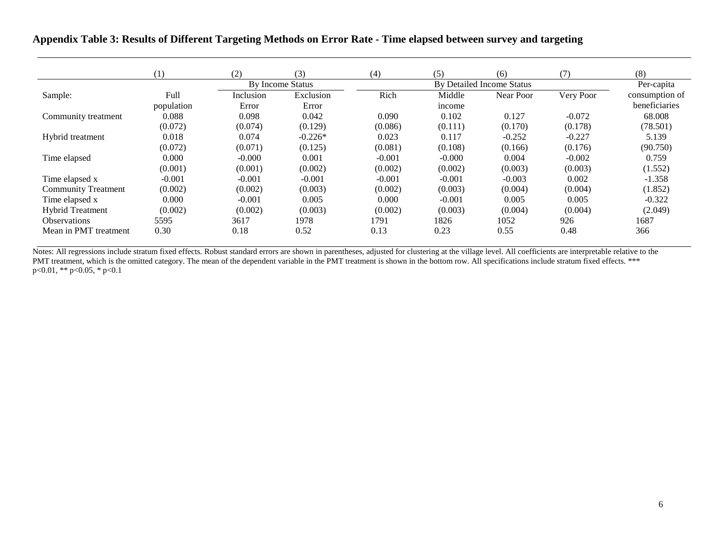#### **Appendix Table 3: Results of Different Targeting Methods on Error Rate - Time elapsed between survey and targeting**

|                            | (1)        | (2)       | (3)              | (4)      | (5)      | (6)                       | (7)       | (8)            |
|----------------------------|------------|-----------|------------------|----------|----------|---------------------------|-----------|----------------|
|                            |            |           | By Income Status |          |          | By Detailed Income Status |           | Per-capita     |
| Sample:                    | Full       | Inclusion | Exclusion        | Rich     | Middle   | Near Poor                 | Very Poor | consumption of |
|                            | population | Error     | Error            |          | income   |                           |           | beneficiaries  |
| Community treatment        | 0.088      | 0.098     | 0.042            | 0.090    | 0.102    | 0.127                     | $-0.072$  | 68.008         |
|                            | (0.072)    | (0.074)   | (0.129)          | (0.086)  | (0.111)  | (0.170)                   | (0.178)   | (78.501)       |
| Hybrid treatment           | 0.018      | 0.074     | $-0.226*$        | 0.023    | 0.117    | $-0.252$                  | $-0.227$  | 5.139          |
|                            | (0.072)    | (0.071)   | (0.125)          | (0.081)  | (0.108)  | (0.166)                   | (0.176)   | (90.750)       |
| Time elapsed               | 0.000      | $-0.000$  | 0.001            | $-0.001$ | $-0.000$ | 0.004                     | $-0.002$  | 0.759          |
|                            | (0.001)    | (0.001)   | (0.002)          | (0.002)  | (0.002)  | (0.003)                   | (0.003)   | (1.552)        |
| Time elapsed x             | $-0.001$   | $-0.001$  | $-0.001$         | $-0.001$ | $-0.001$ | $-0.003$                  | 0.002     | $-1.358$       |
| <b>Community Treatment</b> | (0.002)    | (0.002)   | (0.003)          | (0.002)  | (0.003)  | (0.004)                   | (0.004)   | (1.852)        |
| Time elapsed x             | 0.000      | $-0.001$  | 0.005            | 0.000    | $-0.001$ | 0.005                     | 0.005     | $-0.322$       |
| <b>Hybrid Treatment</b>    | (0.002)    | (0.002)   | (0.003)          | (0.002)  | (0.003)  | (0.004)                   | (0.004)   | (2.049)        |
| <b>Observations</b>        | 5595       | 3617      | 1978             | 1791     | 1826     | 1052                      | 926       | 1687           |
| Mean in PMT treatment      | 0.30       | 0.18      | 0.52             | 0.13     | 0.23     | 0.55                      | 0.48      | 366            |

Notes: All regressions include stratum fixed effects. Robust standard errors are shown in parentheses, adjusted for clustering at the village level. All coefficients are interpretable relative to the PMT treatment, which is the omitted category. The mean of the dependent variable in the PMT treatment is shown in the bottom row. All specifications include stratum fixed effects. \*\*\* p<0.01, \*\* p<0.05, \* p<0.1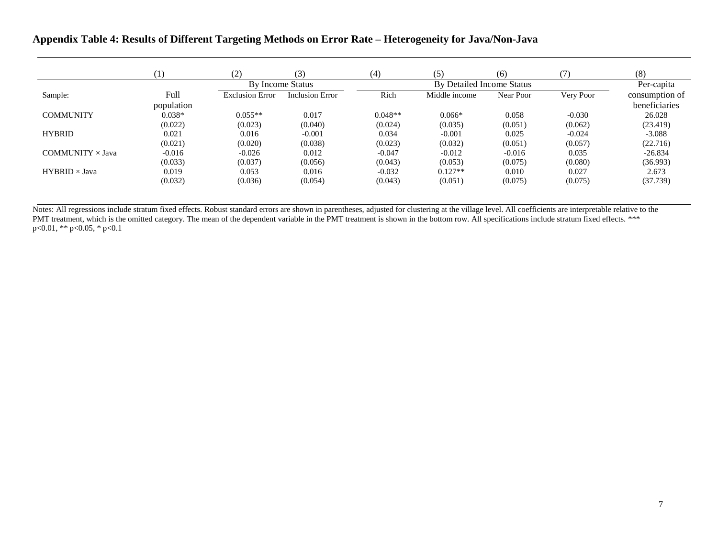## **Appendix Table 4: Results of Different Targeting Methods on Error Rate – Heterogeneity for Java/Non-Java**

|                         | 1)         | (2)                    | (3)                    | (4)       | (5)                       | (6)       |           | (8)            |
|-------------------------|------------|------------------------|------------------------|-----------|---------------------------|-----------|-----------|----------------|
|                         |            |                        | By Income Status       |           | By Detailed Income Status |           |           | Per-capita     |
| Sample:                 | Full       | <b>Exclusion Error</b> | <b>Inclusion Error</b> | Rich      | Middle income             | Near Poor | Very Poor | consumption of |
|                         | population |                        |                        |           |                           |           |           | beneficiaries  |
| <b>COMMUNITY</b>        | $0.038*$   | $0.055**$              | 0.017                  | $0.048**$ | $0.066*$                  | 0.058     | $-0.030$  | 26.028         |
|                         | (0.022)    | (0.023)                | (0.040)                | (0.024)   | (0.035)                   | (0.051)   | (0.062)   | (23.419)       |
| <b>HYBRID</b>           | 0.021      | 0.016                  | $-0.001$               | 0.034     | $-0.001$                  | 0.025     | $-0.024$  | $-3.088$       |
|                         | (0.021)    | (0.020)                | (0.038)                | (0.023)   | (0.032)                   | (0.051)   | (0.057)   | (22.716)       |
| COMMUNITY $\times$ Java | $-0.016$   | $-0.026$               | 0.012                  | $-0.047$  | $-0.012$                  | $-0.016$  | 0.035     | $-26.834$      |
|                         | (0.033)    | (0.037)                | (0.056)                | (0.043)   | (0.053)                   | (0.075)   | (0.080)   | (36.993)       |
| $HYBRID \times Java$    | 0.019      | 0.053                  | 0.016                  | $-0.032$  | $0.127**$                 | 0.010     | 0.027     | 2.673          |
|                         | (0.032)    | (0.036)                | (0.054)                | (0.043)   | (0.051)                   | (0.075)   | (0.075)   | (37.739)       |

Notes: All regressions include stratum fixed effects. Robust standard errors are shown in parentheses, adjusted for clustering at the village level. All coefficients are interpretable relative to the PMT treatment, which is the omitted category. The mean of the dependent variable in the PMT treatment is shown in the bottom row. All specifications include stratum fixed effects. \*\*\* p<0.01, \*\* p<0.05, \* p<0.1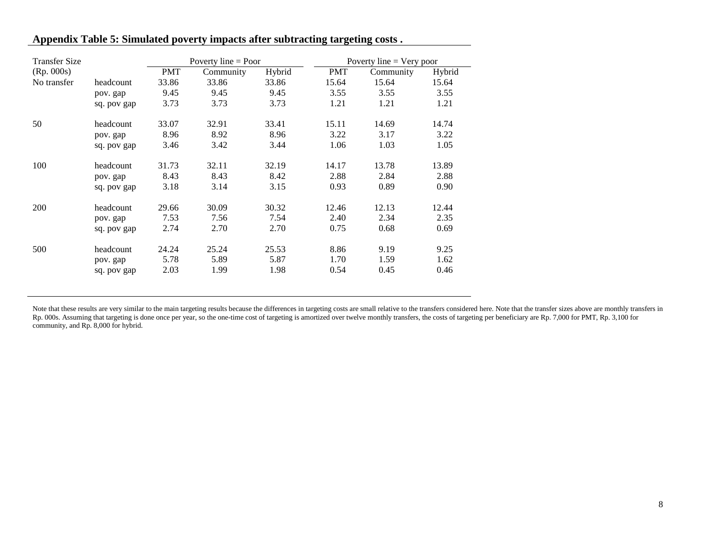| <b>Transfer Size</b> |             |            | Poverty line $=$ Poor |        |            | Poverty line $=$ Very poor |        |  |  |  |
|----------------------|-------------|------------|-----------------------|--------|------------|----------------------------|--------|--|--|--|
| (Rp. 000s)           |             | <b>PMT</b> | Community             | Hybrid | <b>PMT</b> | Community                  | Hybrid |  |  |  |
| No transfer          | headcount   | 33.86      | 33.86                 | 33.86  | 15.64      | 15.64                      | 15.64  |  |  |  |
|                      | pov. gap    | 9.45       | 9.45                  | 9.45   | 3.55       | 3.55                       | 3.55   |  |  |  |
|                      | sq. pov gap | 3.73       | 3.73                  | 3.73   | 1.21       | 1.21                       | 1.21   |  |  |  |
| 50                   | headcount   | 33.07      | 32.91                 | 33.41  | 15.11      | 14.69                      | 14.74  |  |  |  |
|                      | pov. gap    | 8.96       | 8.92                  | 8.96   | 3.22       | 3.17                       | 3.22   |  |  |  |
|                      | sq. pov gap | 3.46       | 3.42                  | 3.44   | 1.06       | 1.03                       | 1.05   |  |  |  |
| 100                  | headcount   | 31.73      | 32.11                 | 32.19  | 14.17      | 13.78                      | 13.89  |  |  |  |
|                      | pov. gap    | 8.43       | 8.43                  | 8.42   | 2.88       | 2.84                       | 2.88   |  |  |  |
|                      | sq. pov gap | 3.18       | 3.14                  | 3.15   | 0.93       | 0.89                       | 0.90   |  |  |  |
| 200                  | headcount   | 29.66      | 30.09                 | 30.32  | 12.46      | 12.13                      | 12.44  |  |  |  |
|                      | pov. gap    | 7.53       | 7.56                  | 7.54   | 2.40       | 2.34                       | 2.35   |  |  |  |
|                      | sq. pov gap | 2.74       | 2.70                  | 2.70   | 0.75       | 0.68                       | 0.69   |  |  |  |
| 500                  | headcount   | 24.24      | 25.24                 | 25.53  | 8.86       | 9.19                       | 9.25   |  |  |  |
|                      | pov. gap    | 5.78       | 5.89                  | 5.87   | 1.70       | 1.59                       | 1.62   |  |  |  |
|                      | sq. pov gap | 2.03       | 1.99                  | 1.98   | 0.54       | 0.45                       | 0.46   |  |  |  |

#### **Appendix Table 5: Simulated poverty impacts after subtracting targeting costs .**

Note that these results are very similar to the main targeting results because the differences in targeting costs are small relative to the transfers considered here. Note that the transfer sizes above are monthly transfer Rp. 000s. Assuming that targeting is done once per year, so the one-time cost of targeting is amortized over twelve monthly transfers, the costs of targeting per beneficiary are Rp. 7,000 for PMT, Rp. 3,100 for community, and Rp. 8,000 for hybrid.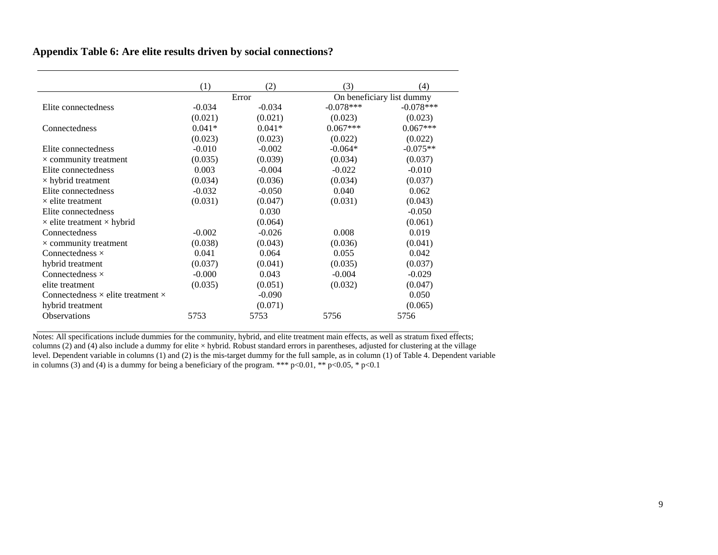## **Appendix Table 6: Are elite results driven by social connections?**

|                                                 | (1)      | (2)      | (3)                       | (4)         |  |
|-------------------------------------------------|----------|----------|---------------------------|-------------|--|
|                                                 |          | Error    | On beneficiary list dummy |             |  |
| Elite connectedness                             | $-0.034$ | $-0.034$ | $-0.078***$               | $-0.078***$ |  |
|                                                 | (0.021)  | (0.021)  | (0.023)                   | (0.023)     |  |
| Connectedness                                   | $0.041*$ | $0.041*$ | $0.067***$                | $0.067***$  |  |
|                                                 | (0.023)  | (0.023)  | (0.022)                   | (0.022)     |  |
| Elite connectedness                             | $-0.010$ | $-0.002$ | $-0.064*$                 | $-0.075**$  |  |
| $\times$ community treatment                    | (0.035)  | (0.039)  | (0.034)                   | (0.037)     |  |
| Elite connectedness                             | 0.003    | $-0.004$ | $-0.022$                  | $-0.010$    |  |
| $\times$ hybrid treatment                       | (0.034)  | (0.036)  | (0.034)                   | (0.037)     |  |
| Elite connectedness                             | $-0.032$ | $-0.050$ | 0.040                     | 0.062       |  |
| $\times$ elite treatment                        | (0.031)  | (0.047)  | (0.031)                   | (0.043)     |  |
| Elite connectedness                             |          | 0.030    |                           | $-0.050$    |  |
| $\times$ elite treatment $\times$ hybrid        |          | (0.064)  |                           | (0.061)     |  |
| Connectedness                                   | $-0.002$ | $-0.026$ | 0.008                     | 0.019       |  |
| $\times$ community treatment                    | (0.038)  | (0.043)  | (0.036)                   | (0.041)     |  |
| Connectedness $\times$                          | 0.041    | 0.064    | 0.055                     | 0.042       |  |
| hybrid treatment                                | (0.037)  | (0.041)  | (0.035)                   | (0.037)     |  |
| Connectedness $\times$                          | $-0.000$ | 0.043    | $-0.004$                  | $-0.029$    |  |
| elite treatment                                 | (0.035)  | (0.051)  | (0.032)                   | (0.047)     |  |
| Connectedness $\times$ elite treatment $\times$ |          | $-0.090$ |                           | 0.050       |  |
| hybrid treatment                                |          | (0.071)  |                           | (0.065)     |  |
| <b>Observations</b>                             | 5753     | 5753     | 5756                      | 5756        |  |

Notes: All specifications include dummies for the community, hybrid, and elite treatment main effects, as well as stratum fixed effects; columns (2) and (4) also include a dummy for elite  $\times$  hybrid. Robust standard errors in parentheses, adjusted for clustering at the village level. Dependent variable in columns (1) and (2) is the mis-target dummy for the full sample, as in column (1) of Table 4. Dependent variable in columns (3) and (4) is a dummy for being a beneficiary of the program. \*\*\* p<0.01, \*\* p<0.05, \* p<0.1